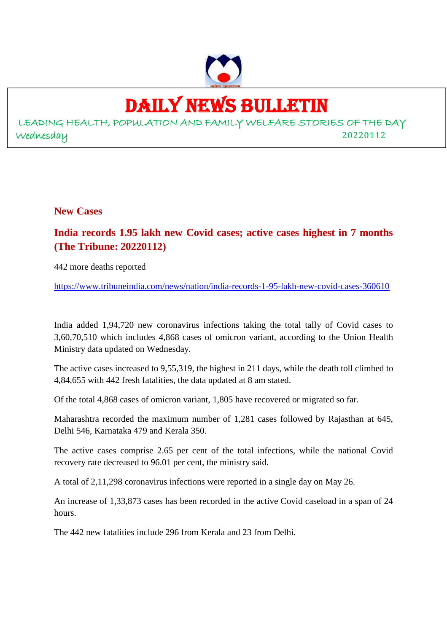

# DAILY NEWS BULLETIN

LEADING HEALTH, POPULATION AND FAMILY WELFARE STORIES OF THE DAY Wednesday 20220112

**New Cases**

**India records 1.95 lakh new Covid cases; active cases highest in 7 months (The Tribune: 20220112)**

442 more deaths reported

https://www.tribuneindia.com/news/nation/india-records-1-95-lakh-new-covid-cases-360610

India added 1,94,720 new coronavirus infections taking the total tally of Covid cases to 3,60,70,510 which includes 4,868 cases of omicron variant, according to the Union Health Ministry data updated on Wednesday.

The active cases increased to 9,55,319, the highest in 211 days, while the death toll climbed to 4,84,655 with 442 fresh fatalities, the data updated at 8 am stated.

Of the total 4,868 cases of omicron variant, 1,805 have recovered or migrated so far.

Maharashtra recorded the maximum number of 1,281 cases followed by Rajasthan at 645, Delhi 546, Karnataka 479 and Kerala 350.

The active cases comprise 2.65 per cent of the total infections, while the national Covid recovery rate decreased to 96.01 per cent, the ministry said.

A total of 2,11,298 coronavirus infections were reported in a single day on May 26.

An increase of 1,33,873 cases has been recorded in the active Covid caseload in a span of 24 hours.

The 442 new fatalities include 296 from Kerala and 23 from Delhi.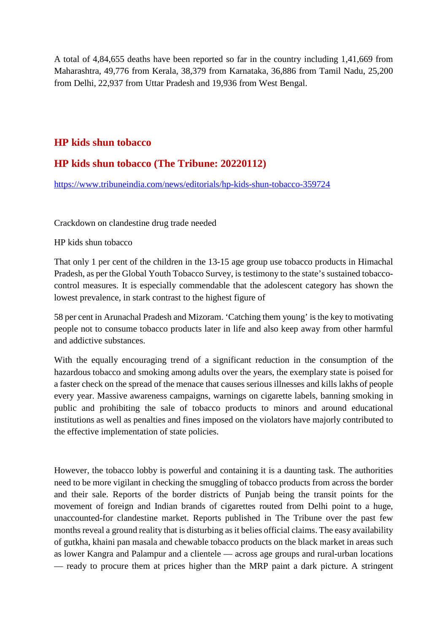A total of 4,84,655 deaths have been reported so far in the country including 1,41,669 from Maharashtra, 49,776 from Kerala, 38,379 from Karnataka, 36,886 from Tamil Nadu, 25,200 from Delhi, 22,937 from Uttar Pradesh and 19,936 from West Bengal.

## **HP kids shun tobacco**

## **HP kids shun tobacco (The Tribune: 20220112)**

https://www.tribuneindia.com/news/editorials/hp-kids-shun-tobacco-359724

Crackdown on clandestine drug trade needed

HP kids shun tobacco

That only 1 per cent of the children in the 13-15 age group use tobacco products in Himachal Pradesh, as per the Global Youth Tobacco Survey, is testimony to the state's sustained tobaccocontrol measures. It is especially commendable that the adolescent category has shown the lowest prevalence, in stark contrast to the highest figure of

58 per cent in Arunachal Pradesh and Mizoram. 'Catching them young' is the key to motivating people not to consume tobacco products later in life and also keep away from other harmful and addictive substances.

With the equally encouraging trend of a significant reduction in the consumption of the hazardous tobacco and smoking among adults over the years, the exemplary state is poised for a faster check on the spread of the menace that causes serious illnesses and kills lakhs of people every year. Massive awareness campaigns, warnings on cigarette labels, banning smoking in public and prohibiting the sale of tobacco products to minors and around educational institutions as well as penalties and fines imposed on the violators have majorly contributed to the effective implementation of state policies.

However, the tobacco lobby is powerful and containing it is a daunting task. The authorities need to be more vigilant in checking the smuggling of tobacco products from across the border and their sale. Reports of the border districts of Punjab being the transit points for the movement of foreign and Indian brands of cigarettes routed from Delhi point to a huge, unaccounted-for clandestine market. Reports published in The Tribune over the past few months reveal a ground reality that is disturbing as it belies official claims. The easy availability of gutkha, khaini pan masala and chewable tobacco products on the black market in areas such as lower Kangra and Palampur and a clientele — across age groups and rural-urban locations — ready to procure them at prices higher than the MRP paint a dark picture. A stringent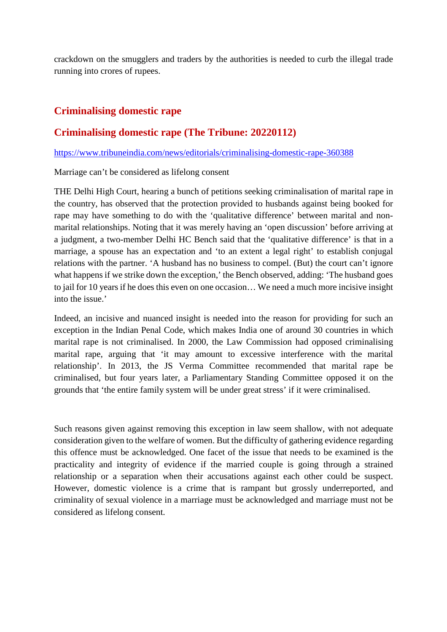crackdown on the smugglers and traders by the authorities is needed to curb the illegal trade running into crores of rupees.

## **Criminalising domestic rape**

## **Criminalising domestic rape (The Tribune: 20220112)**

https://www.tribuneindia.com/news/editorials/criminalising-domestic-rape-360388

Marriage can't be considered as lifelong consent

THE Delhi High Court, hearing a bunch of petitions seeking criminalisation of marital rape in the country, has observed that the protection provided to husbands against being booked for rape may have something to do with the 'qualitative difference' between marital and nonmarital relationships. Noting that it was merely having an 'open discussion' before arriving at a judgment, a two-member Delhi HC Bench said that the 'qualitative difference' is that in a marriage, a spouse has an expectation and 'to an extent a legal right' to establish conjugal relations with the partner. 'A husband has no business to compel. (But) the court can't ignore what happens if we strike down the exception,' the Bench observed, adding: 'The husband goes to jail for 10 years if he does this even on one occasion… We need a much more incisive insight into the issue.'

Indeed, an incisive and nuanced insight is needed into the reason for providing for such an exception in the Indian Penal Code, which makes India one of around 30 countries in which marital rape is not criminalised. In 2000, the Law Commission had opposed criminalising marital rape, arguing that 'it may amount to excessive interference with the marital relationship'. In 2013, the JS Verma Committee recommended that marital rape be criminalised, but four years later, a Parliamentary Standing Committee opposed it on the grounds that 'the entire family system will be under great stress' if it were criminalised.

Such reasons given against removing this exception in law seem shallow, with not adequate consideration given to the welfare of women. But the difficulty of gathering evidence regarding this offence must be acknowledged. One facet of the issue that needs to be examined is the practicality and integrity of evidence if the married couple is going through a strained relationship or a separation when their accusations against each other could be suspect. However, domestic violence is a crime that is rampant but grossly underreported, and criminality of sexual violence in a marriage must be acknowledged and marriage must not be considered as lifelong consent.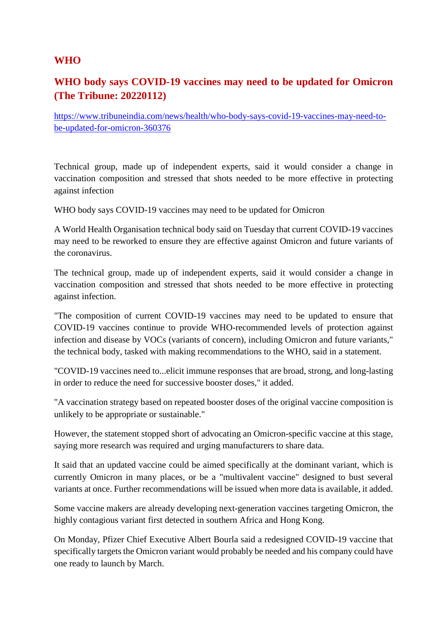## **WHO**

# **WHO body says COVID-19 vaccines may need to be updated for Omicron (The Tribune: 20220112)**

https://www.tribuneindia.com/news/health/who-body-says-covid-19-vaccines-may-need-tobe-updated-for-omicron-360376

Technical group, made up of independent experts, said it would consider a change in vaccination composition and stressed that shots needed to be more effective in protecting against infection

WHO body says COVID-19 vaccines may need to be updated for Omicron

A World Health Organisation technical body said on Tuesday that current COVID-19 vaccines may need to be reworked to ensure they are effective against Omicron and future variants of the coronavirus.

The technical group, made up of independent experts, said it would consider a change in vaccination composition and stressed that shots needed to be more effective in protecting against infection.

"The composition of current COVID-19 vaccines may need to be updated to ensure that COVID-19 vaccines continue to provide WHO-recommended levels of protection against infection and disease by VOCs (variants of concern), including Omicron and future variants," the technical body, tasked with making recommendations to the WHO, said in a statement.

"COVID-19 vaccines need to...elicit immune responses that are broad, strong, and long-lasting in order to reduce the need for successive booster doses," it added.

"A vaccination strategy based on repeated booster doses of the original vaccine composition is unlikely to be appropriate or sustainable."

However, the statement stopped short of advocating an Omicron-specific vaccine at this stage, saying more research was required and urging manufacturers to share data.

It said that an updated vaccine could be aimed specifically at the dominant variant, which is currently Omicron in many places, or be a "multivalent vaccine" designed to bust several variants at once. Further recommendations will be issued when more data is available, it added.

Some vaccine makers are already developing next-generation vaccines targeting Omicron, the highly contagious variant first detected in southern Africa and Hong Kong.

On Monday, Pfizer Chief Executive Albert Bourla said a redesigned COVID-19 vaccine that specifically targets the Omicron variant would probably be needed and his company could have one ready to launch by March.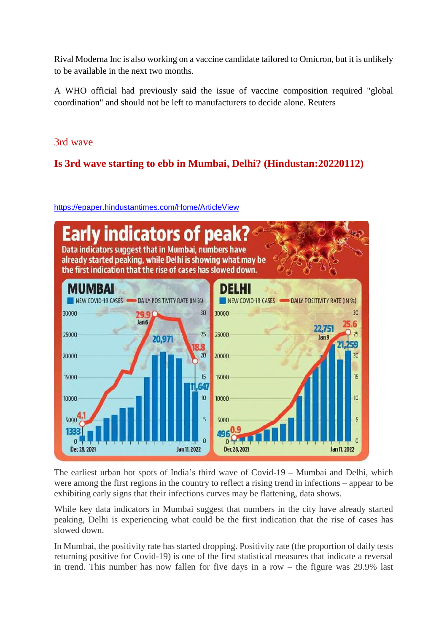Rival Moderna Inc is also working on a vaccine candidate tailored to Omicron, but it is unlikely to be available in the next two months.

A WHO official had previously said the issue of vaccine composition required "global coordination" and should not be left to manufacturers to decide alone. Reuters

## 3rd wave

# **Is 3rd wave starting to ebb in Mumbai, Delhi? (Hindustan:20220112)**

https://epaper.hindustantimes.com/Home/ArticleView



The earliest urban hot spots of India's third wave of Covid-19 – Mumbai and Delhi, which were among the first regions in the country to reflect a rising trend in infections – appear to be exhibiting early signs that their infections curves may be flattening, data shows.

While key data indicators in Mumbai suggest that numbers in the city have already started peaking, Delhi is experiencing what could be the first indication that the rise of cases has slowed down.

In Mumbai, the positivity rate has started dropping. Positivity rate (the proportion of daily tests returning positive for Covid-19) is one of the first statistical measures that indicate a reversal in trend. This number has now fallen for five days in a row – the figure was 29.9% last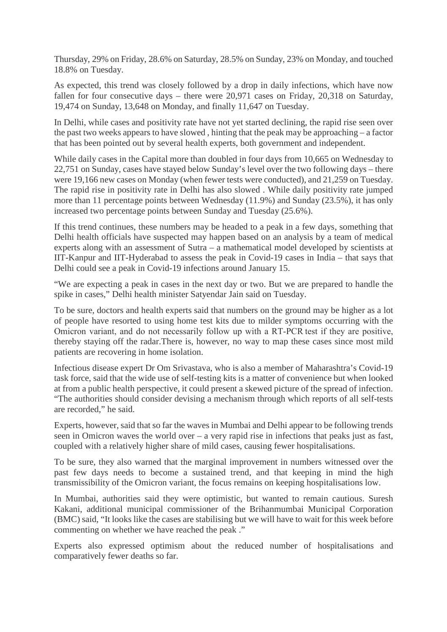Thursday, 29% on Friday, 28.6% on Saturday, 28.5% on Sunday, 23% on Monday, and touched 18.8% on Tuesday.

As expected, this trend was closely followed by a drop in daily infections, which have now fallen for four consecutive days – there were 20,971 cases on Friday, 20,318 on Saturday, 19,474 on Sunday, 13,648 on Monday, and finally 11,647 on Tuesday.

In Delhi, while cases and positivity rate have not yet started declining, the rapid rise seen over the past two weeks appears to have slowed , hinting that the peak may be approaching – a factor that has been pointed out by several health experts, both government and independent.

While daily cases in the Capital more than doubled in four days from 10,665 on Wednesday to 22,751 on Sunday, cases have stayed below Sunday's level over the two following days – there were 19,166 new cases on Monday (when fewer tests were conducted), and 21,259 on Tuesday. The rapid rise in positivity rate in Delhi has also slowed . While daily positivity rate jumped more than 11 percentage points between Wednesday (11.9%) and Sunday (23.5%), it has only increased two percentage points between Sunday and Tuesday (25.6%).

If this trend continues, these numbers may be headed to a peak in a few days, something that Delhi health officials have suspected may happen based on an analysis by a team of medical experts along with an assessment of Sutra – a mathematical model developed by scientists at IIT-Kanpur and IIT-Hyderabad to assess the peak in Covid-19 cases in India – that says that Delhi could see a peak in Covid-19 infections around January 15.

"We are expecting a peak in cases in the next day or two. But we are prepared to handle the spike in cases," Delhi health minister Satyendar Jain said on Tuesday.

To be sure, doctors and health experts said that numbers on the ground may be higher as a lot of people have resorted to using home test kits due to milder symptoms occurring with the Omicron variant, and do not necessarily follow up with a RT-PCR test if they are positive, thereby staying off the radar.There is, however, no way to map these cases since most mild patients are recovering in home isolation.

Infectious disease expert Dr Om Srivastava, who is also a member of Maharashtra's Covid-19 task force, said that the wide use of self-testing kits is a matter of convenience but when looked at from a public health perspective, it could present a skewed picture of the spread of infection. "The authorities should consider devising a mechanism through which reports of all self-tests are recorded," he said.

Experts, however, said that so far the waves in Mumbai and Delhi appear to be following trends seen in Omicron waves the world over – a very rapid rise in infections that peaks just as fast, coupled with a relatively higher share of mild cases, causing fewer hospitalisations.

To be sure, they also warned that the marginal improvement in numbers witnessed over the past few days needs to become a sustained trend, and that keeping in mind the high transmissibility of the Omicron variant, the focus remains on keeping hospitalisations low.

In Mumbai, authorities said they were optimistic, but wanted to remain cautious. Suresh Kakani, additional municipal commissioner of the Brihanmumbai Municipal Corporation (BMC) said, "It looks like the cases are stabilising but we will have to wait for this week before commenting on whether we have reached the peak ."

Experts also expressed optimism about the reduced number of hospitalisations and comparatively fewer deaths so far.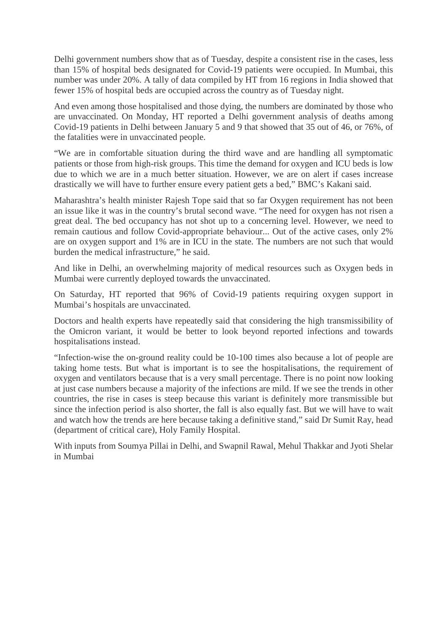Delhi government numbers show that as of Tuesday, despite a consistent rise in the cases, less than 15% of hospital beds designated for Covid-19 patients were occupied. In Mumbai, this number was under 20%. A tally of data compiled by HT from 16 regions in India showed that fewer 15% of hospital beds are occupied across the country as of Tuesday night.

And even among those hospitalised and those dying, the numbers are dominated by those who are unvaccinated. On Monday, HT reported a Delhi government analysis of deaths among Covid-19 patients in Delhi between January 5 and 9 that showed that 35 out of 46, or 76%, of the fatalities were in unvaccinated people.

"We are in comfortable situation during the third wave and are handling all symptomatic patients or those from high-risk groups. This time the demand for oxygen and ICU beds is low due to which we are in a much better situation. However, we are on alert if cases increase drastically we will have to further ensure every patient gets a bed," BMC's Kakani said.

Maharashtra's health minister Rajesh Tope said that so far Oxygen requirement has not been an issue like it was in the country's brutal second wave. "The need for oxygen has not risen a great deal. The bed occupancy has not shot up to a concerning level. However, we need to remain cautious and follow Covid-appropriate behaviour... Out of the active cases, only 2% are on oxygen support and 1% are in ICU in the state. The numbers are not such that would burden the medical infrastructure," he said.

And like in Delhi, an overwhelming majority of medical resources such as Oxygen beds in Mumbai were currently deployed towards the unvaccinated.

On Saturday, HT reported that 96% of Covid-19 patients requiring oxygen support in Mumbai's hospitals are unvaccinated.

Doctors and health experts have repeatedly said that considering the high transmissibility of the Omicron variant, it would be better to look beyond reported infections and towards hospitalisations instead.

"Infection-wise the on-ground reality could be 10-100 times also because a lot of people are taking home tests. But what is important is to see the hospitalisations, the requirement of oxygen and ventilators because that is a very small percentage. There is no point now looking at just case numbers because a majority of the infections are mild. If we see the trends in other countries, the rise in cases is steep because this variant is definitely more transmissible but since the infection period is also shorter, the fall is also equally fast. But we will have to wait and watch how the trends are here because taking a definitive stand," said Dr Sumit Ray, head (department of critical care), Holy Family Hospital.

With inputs from Soumya Pillai in Delhi, and Swapnil Rawal, Mehul Thakkar and Jyoti Shelar in Mumbai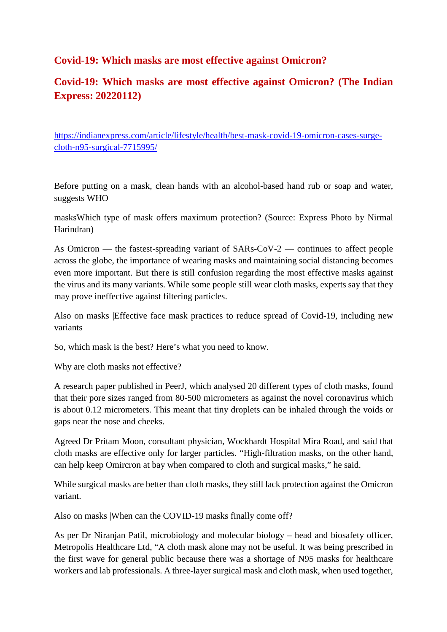## **Covid-19: Which masks are most effective against Omicron?**

# **Covid-19: Which masks are most effective against Omicron? (The Indian Express: 20220112)**

https://indianexpress.com/article/lifestyle/health/best-mask-covid-19-omicron-cases-surgecloth-n95-surgical-7715995/

Before putting on a mask, clean hands with an alcohol-based hand rub or soap and water, suggests WHO

masksWhich type of mask offers maximum protection? (Source: Express Photo by Nirmal Harindran)

As Omicron — the fastest-spreading variant of SARs-CoV-2 — continues to affect people across the globe, the importance of wearing masks and maintaining social distancing becomes even more important. But there is still confusion regarding the most effective masks against the virus and its many variants. While some people still wear cloth masks, experts say that they may prove ineffective against filtering particles.

Also on masks |Effective face mask practices to reduce spread of Covid-19, including new variants

So, which mask is the best? Here's what you need to know.

Why are cloth masks not effective?

A research paper published in PeerJ, which analysed 20 different types of cloth masks, found that their pore sizes ranged from 80-500 micrometers as against the novel coronavirus which is about 0.12 micrometers. This meant that tiny droplets can be inhaled through the voids or gaps near the nose and cheeks.

Agreed Dr Pritam Moon, consultant physician, Wockhardt Hospital Mira Road, and said that cloth masks are effective only for larger particles. "High-filtration masks, on the other hand, can help keep Omircron at bay when compared to cloth and surgical masks," he said.

While surgical masks are better than cloth masks, they still lack protection against the Omicron variant.

Also on masks |When can the COVID-19 masks finally come off?

As per Dr Niranjan Patil, microbiology and molecular biology – head and biosafety officer, Metropolis Healthcare Ltd, "A cloth mask alone may not be useful. It was being prescribed in the first wave for general public because there was a shortage of N95 masks for healthcare workers and lab professionals. A three-layer surgical mask and cloth mask, when used together,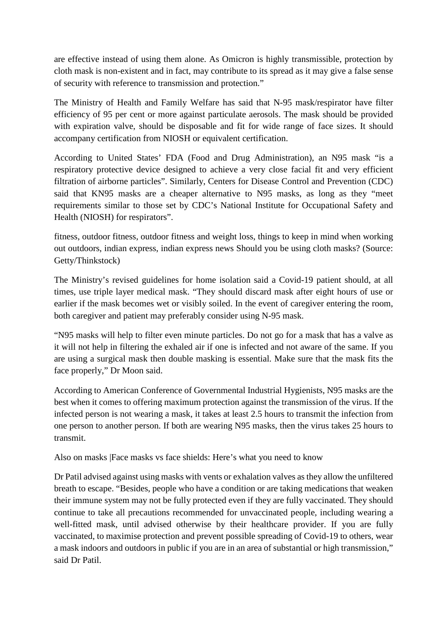are effective instead of using them alone. As Omicron is highly transmissible, protection by cloth mask is non-existent and in fact, may contribute to its spread as it may give a false sense of security with reference to transmission and protection."

The Ministry of Health and Family Welfare has said that N-95 mask/respirator have filter efficiency of 95 per cent or more against particulate aerosols. The mask should be provided with expiration valve, should be disposable and fit for wide range of face sizes. It should accompany certification from NIOSH or equivalent certification.

According to United States' FDA (Food and Drug Administration), an N95 mask "is a respiratory protective device designed to achieve a very close facial fit and very efficient filtration of airborne particles". Similarly, Centers for Disease Control and Prevention (CDC) said that KN95 masks are a cheaper alternative to N95 masks, as long as they "meet requirements similar to those set by CDC's National Institute for Occupational Safety and Health (NIOSH) for respirators".

fitness, outdoor fitness, outdoor fitness and weight loss, things to keep in mind when working out outdoors, indian express, indian express news Should you be using cloth masks? (Source: Getty/Thinkstock)

The Ministry's revised guidelines for home isolation said a Covid-19 patient should, at all times, use triple layer medical mask. "They should discard mask after eight hours of use or earlier if the mask becomes wet or visibly soiled. In the event of caregiver entering the room, both caregiver and patient may preferably consider using N-95 mask.

"N95 masks will help to filter even minute particles. Do not go for a mask that has a valve as it will not help in filtering the exhaled air if one is infected and not aware of the same. If you are using a surgical mask then double masking is essential. Make sure that the mask fits the face properly," Dr Moon said.

According to American Conference of Governmental Industrial Hygienists, N95 masks are the best when it comes to offering maximum protection against the transmission of the virus. If the infected person is not wearing a mask, it takes at least 2.5 hours to transmit the infection from one person to another person. If both are wearing N95 masks, then the virus takes 25 hours to transmit.

Also on masks |Face masks vs face shields: Here's what you need to know

Dr Patil advised against using masks with vents or exhalation valves as they allow the unfiltered breath to escape. "Besides, people who have a condition or are taking medications that weaken their immune system may not be fully protected even if they are fully vaccinated. They should continue to take all precautions recommended for unvaccinated people, including wearing a well-fitted mask, until advised otherwise by their healthcare provider. If you are fully vaccinated, to maximise protection and prevent possible spreading of Covid-19 to others, wear a mask indoors and outdoors in public if you are in an area of substantial or high transmission," said Dr Patil.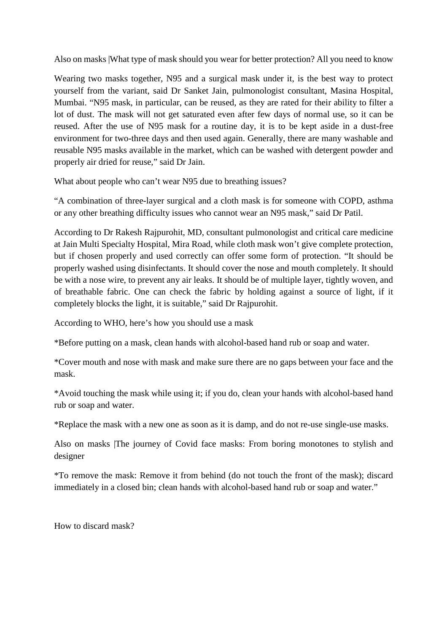Also on masks |What type of mask should you wear for better protection? All you need to know

Wearing two masks together, N95 and a surgical mask under it, is the best way to protect yourself from the variant, said Dr Sanket Jain, pulmonologist consultant, Masina Hospital, Mumbai. "N95 mask, in particular, can be reused, as they are rated for their ability to filter a lot of dust. The mask will not get saturated even after few days of normal use, so it can be reused. After the use of N95 mask for a routine day, it is to be kept aside in a dust-free environment for two-three days and then used again. Generally, there are many washable and reusable N95 masks available in the market, which can be washed with detergent powder and properly air dried for reuse," said Dr Jain.

What about people who can't wear N95 due to breathing issues?

"A combination of three-layer surgical and a cloth mask is for someone with COPD, asthma or any other breathing difficulty issues who cannot wear an N95 mask," said Dr Patil.

According to Dr Rakesh Rajpurohit, MD, consultant pulmonologist and critical care medicine at Jain Multi Specialty Hospital, Mira Road, while cloth mask won't give complete protection, but if chosen properly and used correctly can offer some form of protection. "It should be properly washed using disinfectants. It should cover the nose and mouth completely. It should be with a nose wire, to prevent any air leaks. It should be of multiple layer, tightly woven, and of breathable fabric. One can check the fabric by holding against a source of light, if it completely blocks the light, it is suitable," said Dr Rajpurohit.

According to WHO, here's how you should use a mask

\*Before putting on a mask, clean hands with alcohol-based hand rub or soap and water.

\*Cover mouth and nose with mask and make sure there are no gaps between your face and the mask.

\*Avoid touching the mask while using it; if you do, clean your hands with alcohol-based hand rub or soap and water.

\*Replace the mask with a new one as soon as it is damp, and do not re-use single-use masks.

Also on masks |The journey of Covid face masks: From boring monotones to stylish and designer

\*To remove the mask: Remove it from behind (do not touch the front of the mask); discard immediately in a closed bin; clean hands with alcohol-based hand rub or soap and water."

How to discard mask?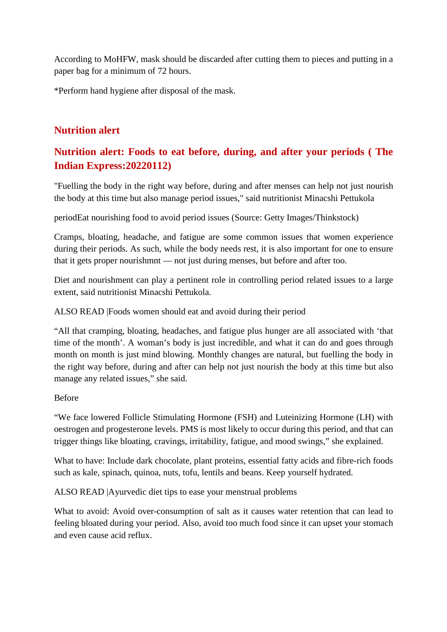According to MoHFW, mask should be discarded after cutting them to pieces and putting in a paper bag for a minimum of 72 hours.

\*Perform hand hygiene after disposal of the mask.

# **Nutrition alert**

# **Nutrition alert: Foods to eat before, during, and after your periods ( The Indian Express:20220112)**

"Fuelling the body in the right way before, during and after menses can help not just nourish the body at this time but also manage period issues," said nutritionist Minacshi Pettukola

periodEat nourishing food to avoid period issues (Source: Getty Images/Thinkstock)

Cramps, bloating, headache, and fatigue are some common issues that women experience during their periods. As such, while the body needs rest, it is also important for one to ensure that it gets proper nourishmnt — not just during menses, but before and after too.

Diet and nourishment can play a pertinent role in controlling period related issues to a large extent, said nutritionist Minacshi Pettukola.

ALSO READ |Foods women should eat and avoid during their period

"All that cramping, bloating, headaches, and fatigue plus hunger are all associated with 'that time of the month'. A woman's body is just incredible, and what it can do and goes through month on month is just mind blowing. Monthly changes are natural, but fuelling the body in the right way before, during and after can help not just nourish the body at this time but also manage any related issues," she said.

Before

"We face lowered Follicle Stimulating Hormone (FSH) and Luteinizing Hormone (LH) with oestrogen and progesterone levels. PMS is most likely to occur during this period, and that can trigger things like bloating, cravings, irritability, fatigue, and mood swings," she explained.

What to have: Include dark chocolate, plant proteins, essential fatty acids and fibre-rich foods such as kale, spinach, quinoa, nuts, tofu, lentils and beans. Keep yourself hydrated.

ALSO READ |Ayurvedic diet tips to ease your menstrual problems

What to avoid: Avoid over-consumption of salt as it causes water retention that can lead to feeling bloated during your period. Also, avoid too much food since it can upset your stomach and even cause acid reflux.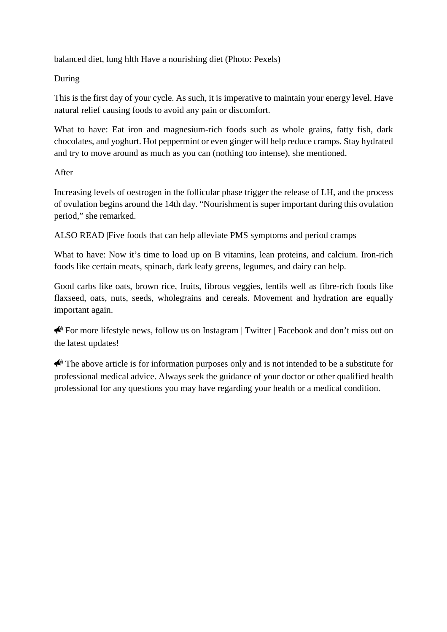balanced diet, lung hlth Have a nourishing diet (Photo: Pexels)

## During

This is the first day of your cycle. As such, it is imperative to maintain your energy level. Have natural relief causing foods to avoid any pain or discomfort.

What to have: Eat iron and magnesium-rich foods such as whole grains, fatty fish, dark chocolates, and yoghurt. Hot peppermint or even ginger will help reduce cramps. Stay hydrated and try to move around as much as you can (nothing too intense), she mentioned.

## After

Increasing levels of oestrogen in the follicular phase trigger the release of LH, and the process of ovulation begins around the 14th day. "Nourishment is super important during this ovulation period," she remarked.

ALSO READ |Five foods that can help alleviate PMS symptoms and period cramps

What to have: Now it's time to load up on B vitamins, lean proteins, and calcium. Iron-rich foods like certain meats, spinach, dark leafy greens, legumes, and dairy can help.

Good carbs like oats, brown rice, fruits, fibrous veggies, lentils well as fibre-rich foods like flaxseed, oats, nuts, seeds, wholegrains and cereals. Movement and hydration are equally important again.

 $\bigotimes$  For more lifestyle news, follow us on Instagram | Twitter | Facebook and don't miss out on the latest updates!

 $\bigotimes$  The above article is for information purposes only and is not intended to be a substitute for professional medical advice. Always seek the guidance of your doctor or other qualified health professional for any questions you may have regarding your health or a medical condition.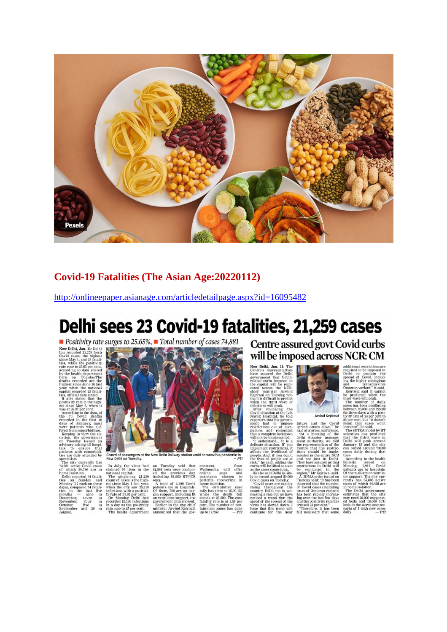

## **Covid-19 Fatalities (The Asian Age:20220112)**

http://onlineepaper.asianage.com/articledetailpage.aspx?id=16095482

# Delhi sees 23 Covid-19 fatalities, 21,259 cases

Positivity rate surges to 25.65%, Total number of cases 74,881



Crowd of passengers at the New Delhi Railway station amid coronavirus pa<br>New Delhi on Tuesday.

ernment, moment and the only offer<br>a manyam classes to an and pranayam classes to parameter and paratents recovering in<br>the method of the cumulative case the cumulative case<br>while the death toll statily past stands at 25,

**Centre assured govt Covid curbs** will be imposed across NCR: CM



**Will be imposed across NCR: CM**<br>
New Debhi, Jan. 11: The sudditional restrictions are<br>have a sexuel the Debhi<br>show a sexuel the Debhi<br>pole of the anguest in position of the minister with contain the<br>contained carb impose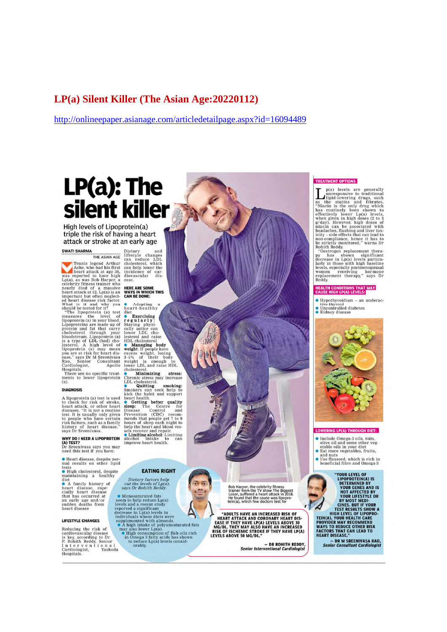## **LP(a) Silent Killer (The Asian Age:20220112)**

http://onlineepaper.asianage.com/articledetailpage.aspx?id=16094489

# LP(a): The silent killer

High levels of Lipoprotein(a) triple the risk of having a heart attack or stroke at an early age

#### **SWATI SHARMA**

THE ASIAN AGE

THE ASIAN AGE<br>
THE ASIAN AGE<br>
THE ASIAN AGE<br>
Ashe, who had his first<br>
heart attack at age 36,<br>
was reported to have high<br>
celebrity fitness trainsing and the main first control of a massive<br>
heart attack at 32. Lp(a) is a<br>

Hospitals.<br>There are no specific treat-<br>ments to lower lipoprotein<br>(a).

#### **DIAGNOSIS**

A lipoprotein (a) test is used<br>to check for risk of stroke, heart attack, or other heart<br>diseases. "It is not a routine<br>test. It is usually only given<br>to the disease of the complex with the top pople who have certain<br>hist

## **WHY DO I NEED A LIPOPROTEIN**

(A) TEST?<br>Dr Sreenivasa says you may<br>need this test if you have:

• Heart disease, despite nor-<br>mal results on other lipid

• Heart disease, despite nor-<br>mal results, on other lipid<br>tests<br> $\overline{H}$  in constanting a healthy<br>diet disease and the disease<br>cially heart disease<br>that has occurred at<br>each carry age and/or<br>sudden deaths from level<br>heart

#### LIFESTYLE CHANGES

Reducing the risk of<br>cardiovascular disease<br>is key, according to Dr<br>P. Rohith Reddy, Senior<br>P. Rohith Reddy, Senior<br>Cardiologist, Yashoda<br>Hospitals.

Dietary and<br>lifestyle changes<br>can reduce LDL<br>cholesterol, which<br>incidence of car-<br>incidence of car-<br>diovascular dis-<br>ease.

# **HERE ARE SOME<br>WAYS IN WHICH THIS<br>CAN BE DONE:**

Adopting<br>heart-healthy heart-healthy<br>
de Exercising<br>
The guilar Pysically<br>
Staying physically active can<br>
lower LDL choosterol<br>
lesterol and raise<br>
Weight : frepple have<br>
weight is enough to<br>
weight is enough to<br>
cholesterol.<br>
Chore LDL and rais

weight is enough to<br>hower LDL and raise HDL<br>cholestrol.<br>The alternative matrices are Minimizing stress:<br>Chronic stress may increase<br>Simokers can seek help to<br>kick the labit and support<br>heart health.<br>**Simokers can seek help** 

### **FATING RIGHT**

Dietary factors help<br>cut the levels of Lp(a),<br>says Dr Rohith Reddy.

says *Dr Ronntn Ready*.<br>
Seem to help reduce Lp(a)<br>
seem to help reduce Lp(a)<br>
levels and a recent study<br>
decrease in Lp(a) levels in<br>
decrease in Lp(a) levels in<br>
supplemented with almonds.<br> **A** high intake of polyunsatu



1

#### **TREATMENT OPTIONS**

**TREATMENT OPTIONS**<br> **THEATMENT OPTIONS**<br>
Impresponsive to traditional<br>
ilipid-lowering drugs, such<br>
as the statins and fibrates.<br>
"Niacin is the only drug which<br>
has routingly been shown to<br>
effectively lower Lp(a) level

### HEALTH CONDITIONS THAT MAY<br>CAUSE HIGH LP(A) LEVELS:

- $\bullet$  Hypothyroidism an underac-
- tive thyroid<br>• Uncontrolled diabetes<br>• Kidney disease



#### **WERING LP(A) THROUGH DIET:**

· Include Omega-3 oils, nuts,

- 
- 
- Include Omega-3 oils, nuts,<br>olive oil and some other veg-<br>etable oils in your diet<br>• Eat more vegetables, fruits,<br>and nuts<br>• Use flaxseed, which is rich in<br>beneficial fibre and Omega-3

**THOMAS SET AND SET AND SET AND SET AND SET AND SET AND SET AND SET AND SET AND SET AND SET AND SET AND SET AND SET AND SET AND SET AND SET AND SET AND SET AND SET AND SET AND SET AND SET AND SET AND SET AND SET AND SET AN** 

- DR M SREENIVASA RAO,<br>Senior Consultant Cardiologist

Bob Harper, the celebrity fitness<br>trainer from the TV show The Biggest<br>Loser, suffered a heart attack in 2018.<br>He found that the cause was lipopro-<br>tein(a), which few doctors test for

m

"ADULTS HAVE AN INCREASED RISK OF HEART ATTACK AND CORONARY HEART DIS-<br>EASE IF THEY HAVE LP(A) LEVELS ABOVE 30<br>MG/DL. THEY MAY ALSO HAVE AN INCREASED<br>RISK OF ISCHEMIC STROKE IF THEY HAVE LP(A)<br>LEVELS ABOVE 50 MG/DL."

.<br>DR ROHITH REDDY, Senior Interventional Cardiologist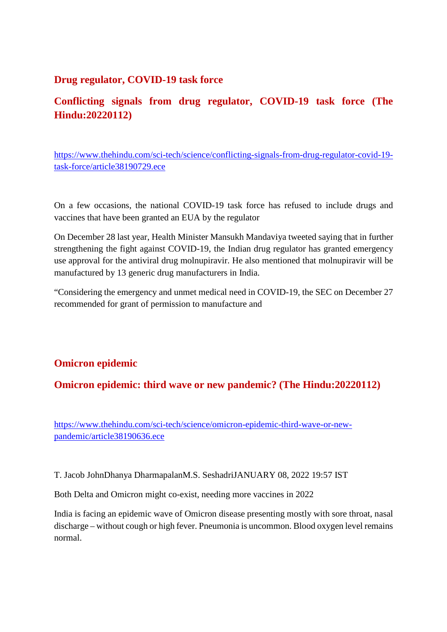## **Drug regulator, COVID-19 task force**

# **Conflicting signals from drug regulator, COVID-19 task force (The Hindu:20220112)**

https://www.thehindu.com/sci-tech/science/conflicting-signals-from-drug-regulator-covid-19 task-force/article38190729.ece

On a few occasions, the national COVID-19 task force has refused to include drugs and vaccines that have been granted an EUA by the regulator

On December 28 last year, Health Minister Mansukh Mandaviya tweeted saying that in further strengthening the fight against COVID-19, the Indian drug regulator has granted emergency use approval for the antiviral drug molnupiravir. He also mentioned that molnupiravir will be manufactured by 13 generic drug manufacturers in India.

"Considering the emergency and unmet medical need in COVID-19, the SEC on December 27 recommended for grant of permission to manufacture and

# **Omicron epidemic**

**Omicron epidemic: third wave or new pandemic? (The Hindu:20220112)**

https://www.thehindu.com/sci-tech/science/omicron-epidemic-third-wave-or-newpandemic/article38190636.ece

T. Jacob JohnDhanya DharmapalanM.S. SeshadriJANUARY 08, 2022 19:57 IST

Both Delta and Omicron might co-exist, needing more vaccines in 2022

India is facing an epidemic wave of Omicron disease presenting mostly with sore throat, nasal discharge – without cough or high fever. Pneumonia is uncommon. Blood oxygen level remains normal.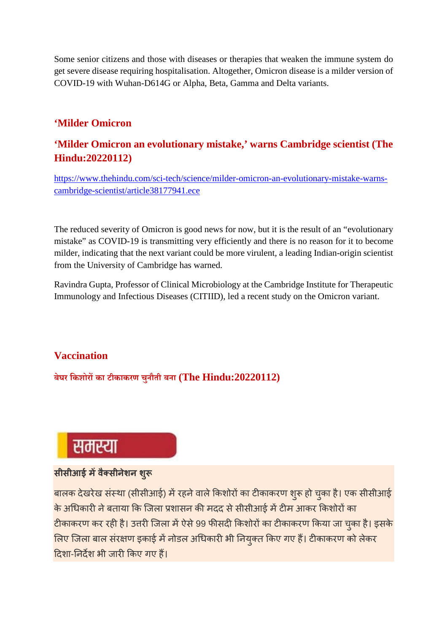Some senior citizens and those with diseases or therapies that weaken the immune system do get severe disease requiring hospitalisation. Altogether, Omicron disease is a milder version of COVID-19 with Wuhan-D614G or Alpha, Beta, Gamma and Delta variants.

# **'Milder Omicron**

# **'Milder Omicron an evolutionary mistake,' warns Cambridge scientist (The Hindu:20220112)**

https://www.thehindu.com/sci-tech/science/milder-omicron-an-evolutionary-mistake-warnscambridge-scientist/article38177941.ece

The reduced severity of Omicron is good news for now, but it is the result of an "evolutionary mistake" as COVID-19 is transmitting very efficiently and there is no reason for it to become milder, indicating that the next variant could be more virulent, a leading Indian-origin scientist from the University of Cambridge has warned.

Ravindra Gupta, Professor of Clinical Microbiology at the Cambridge Institute for Therapeutic Immunology and Infectious Diseases (CITIID), led a recent study on the Omicron variant.

# **Vaccination**

**बेघर िकशोरका टीकाकरण चुनौती बना (The Hindu:20220112)**

# समस्या

# **सीसीआई मवैसीनेशन शु**

बालक देखरेख संस्था (सीसीआई) में रहने वाले किशोरों का टीकाकरण शुरू हो चुका है। एक सीसीआई के अधिकारी ने बताया कि जिला प्रशासन की मदद से सीसीआई में टीम आकर किशोरों का टीकाकरण कर रही है। उत्तरी जिला में ऐसे 99 फीसदी किशोरों का टीकाकरण किया जा चुका है। इसके लिए जिला बाल संरक्षण इकाई में नोडल अधिकारी भी नियुक्त किए गए हैं। टीकाकरण को लेकर दिशा-निर्देश भी जारी किए गए हैं।